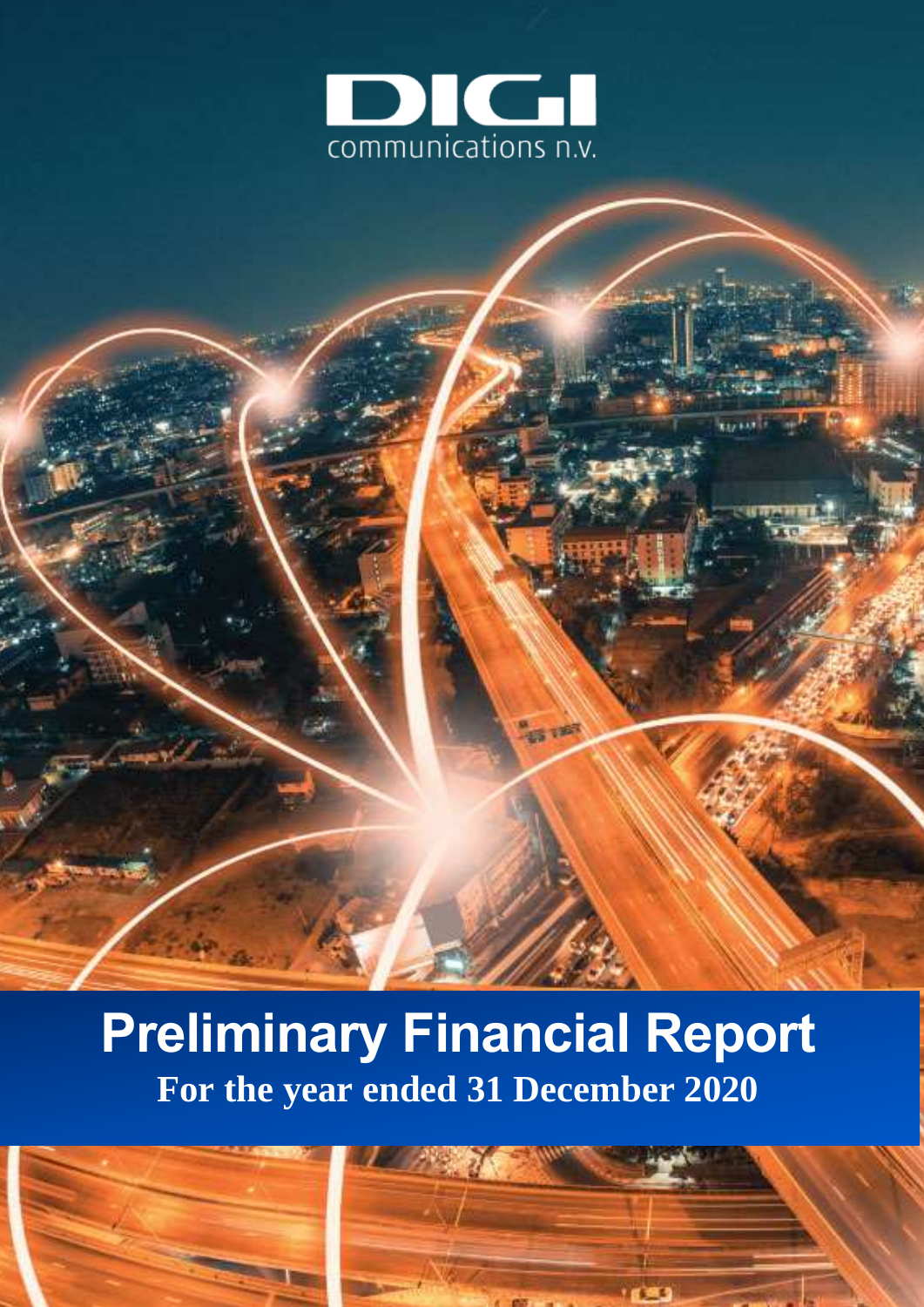

# **Preliminary Financial Report For the year ended 31 December 2020**

es vé



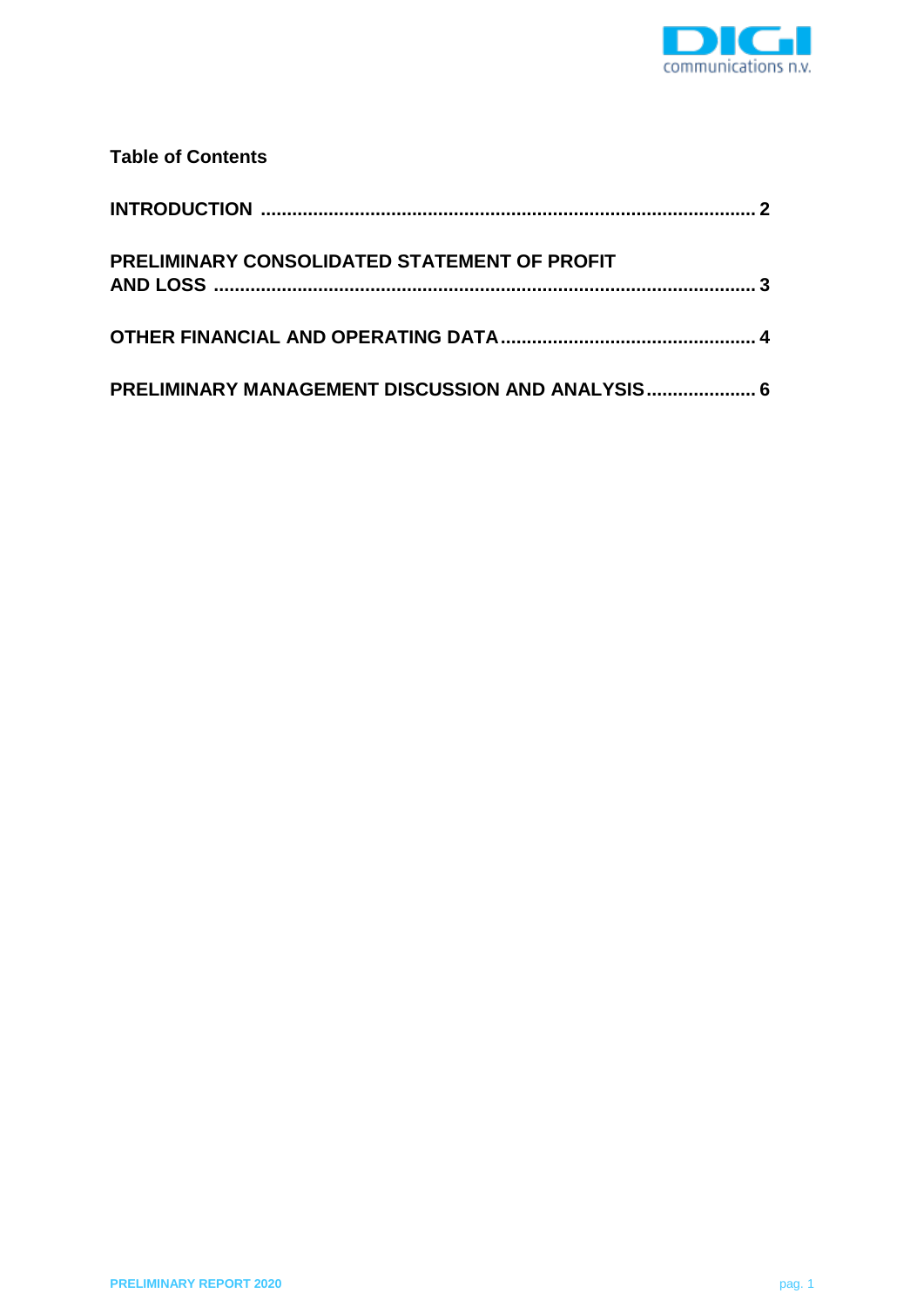

| <b>Table of Contents</b>                            |  |
|-----------------------------------------------------|--|
|                                                     |  |
| <b>PRELIMINARY CONSOLIDATED STATEMENT OF PROFIT</b> |  |
|                                                     |  |
| PRELIMINARY MANAGEMENT DISCUSSION AND ANALYSIS 6    |  |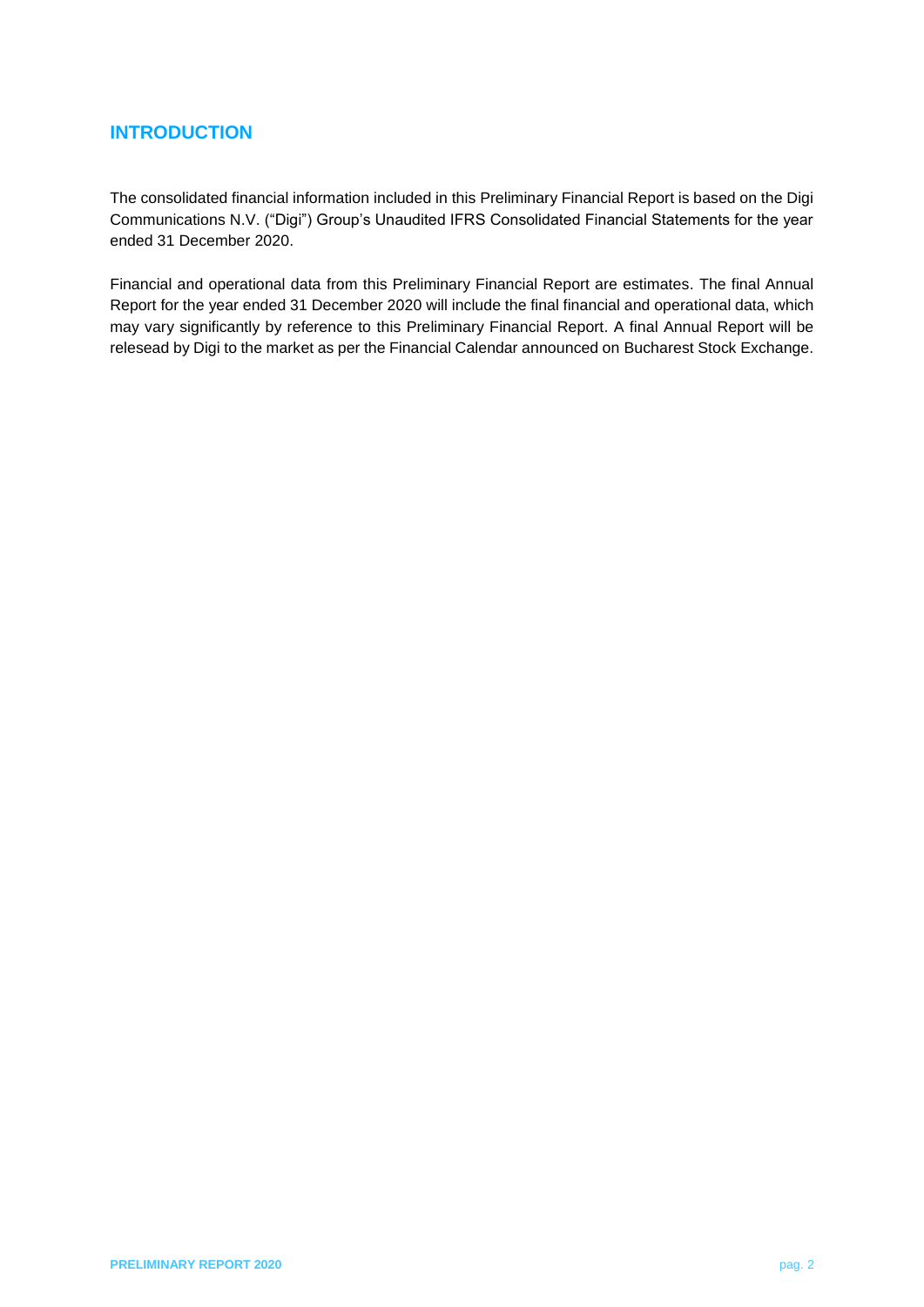# <span id="page-2-0"></span>**INTRODUCTION**

The consolidated financial information included in this Preliminary Financial Report is based on the Digi Communications N.V. ("Digi") Group's Unaudited IFRS Consolidated Financial Statements for the year ended 31 December 2020.

Financial and operational data from this Preliminary Financial Report are estimates. The final Annual Report for the year ended 31 December 2020 will include the final financial and operational data, which may vary significantly by reference to this Preliminary Financial Report. A final Annual Report will be relesead by Digi to the market as per the Financial Calendar announced on Bucharest Stock Exchange.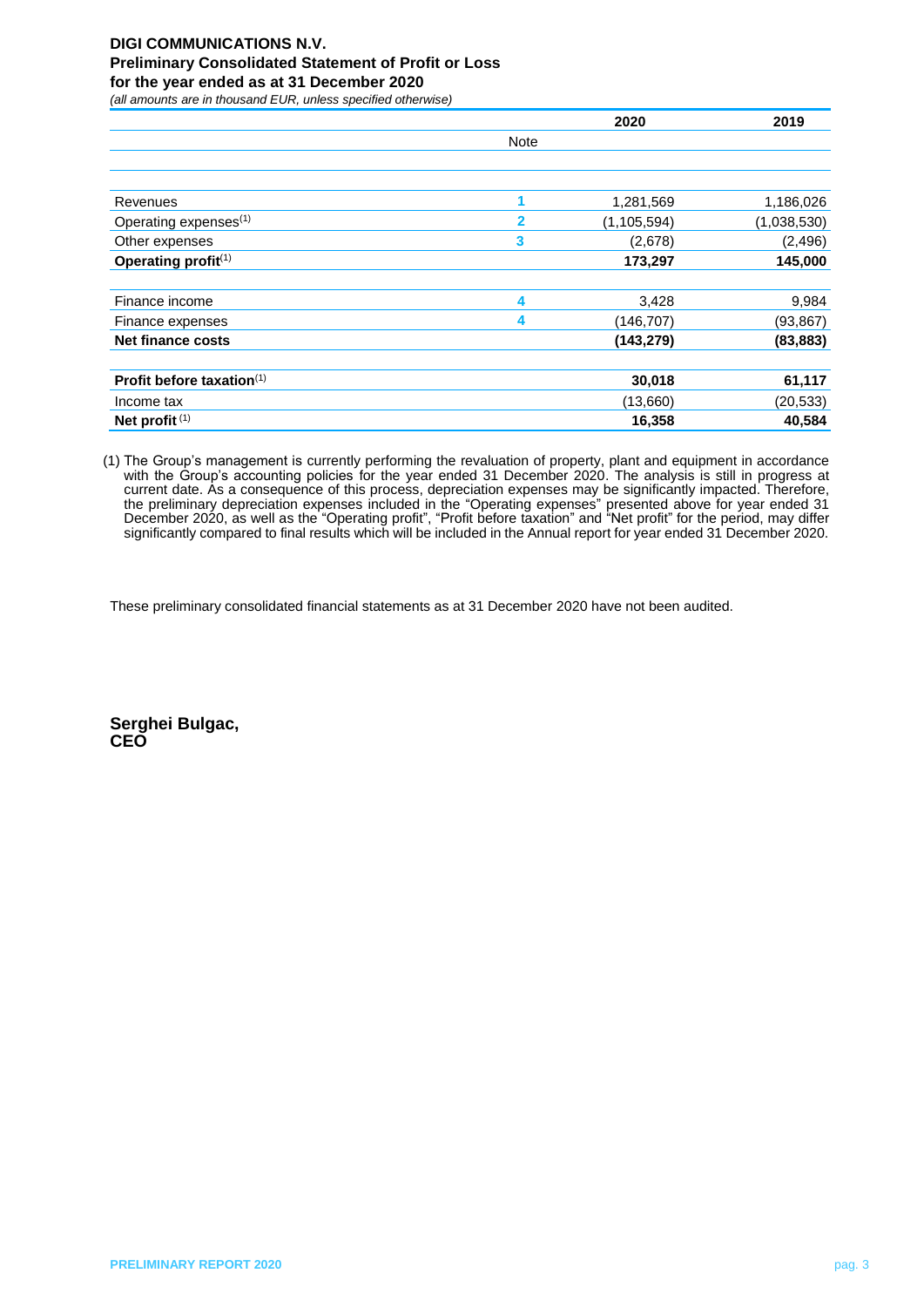## **DIGI COMMUNICATIONS N.V. Preliminary Consolidated Statement of Profit or Loss for the year ended as at 31 December 2020**

*(all amounts are in thousand EUR, unless specified otherwise)*

<span id="page-3-0"></span>

|                                   |                | 2020          | 2019        |
|-----------------------------------|----------------|---------------|-------------|
|                                   | <b>Note</b>    |               |             |
|                                   |                |               |             |
|                                   |                |               |             |
| Revenues                          |                | 1,281,569     | 1,186,026   |
| Operating expenses <sup>(1)</sup> | $\overline{2}$ | (1, 105, 594) | (1,038,530) |
| Other expenses                    | 3              | (2,678)       | (2, 496)    |
| Operating profit <sup>(1)</sup>   |                | 173,297       | 145,000     |
| Finance income                    | 4              | 3,428         | 9,984       |
| Finance expenses                  | 4              | (146, 707)    | (93, 867)   |
| <b>Net finance costs</b>          |                | (143, 279)    | (83, 883)   |
|                                   |                |               |             |
| Profit before taxation(1)         |                | 30,018        | 61,117      |
| Income tax                        |                | (13,660)      | (20, 533)   |
| Net profit <sup>(1)</sup>         |                | 16,358        | 40,584      |

(1) The Group's management is currently performing the revaluation of property, plant and equipment in accordance with the Group's accounting policies for the year ended 31 December 2020. The analysis is still in progress at current date. As a consequence of this process, depreciation expenses may be significantly impacted. Therefore, the preliminary depreciation expenses included in the "Operating expenses" presented above for year ended 31 December 2020, as well as the "Operating profit", "Profit before taxation" and "Net profit" for the period, may differ significantly compared to final results which will be included in the Annual report for year ended 31 December 2020.

These preliminary consolidated financial statements as at 31 December 2020 have not been audited.

**Serghei Bulgac, CEO**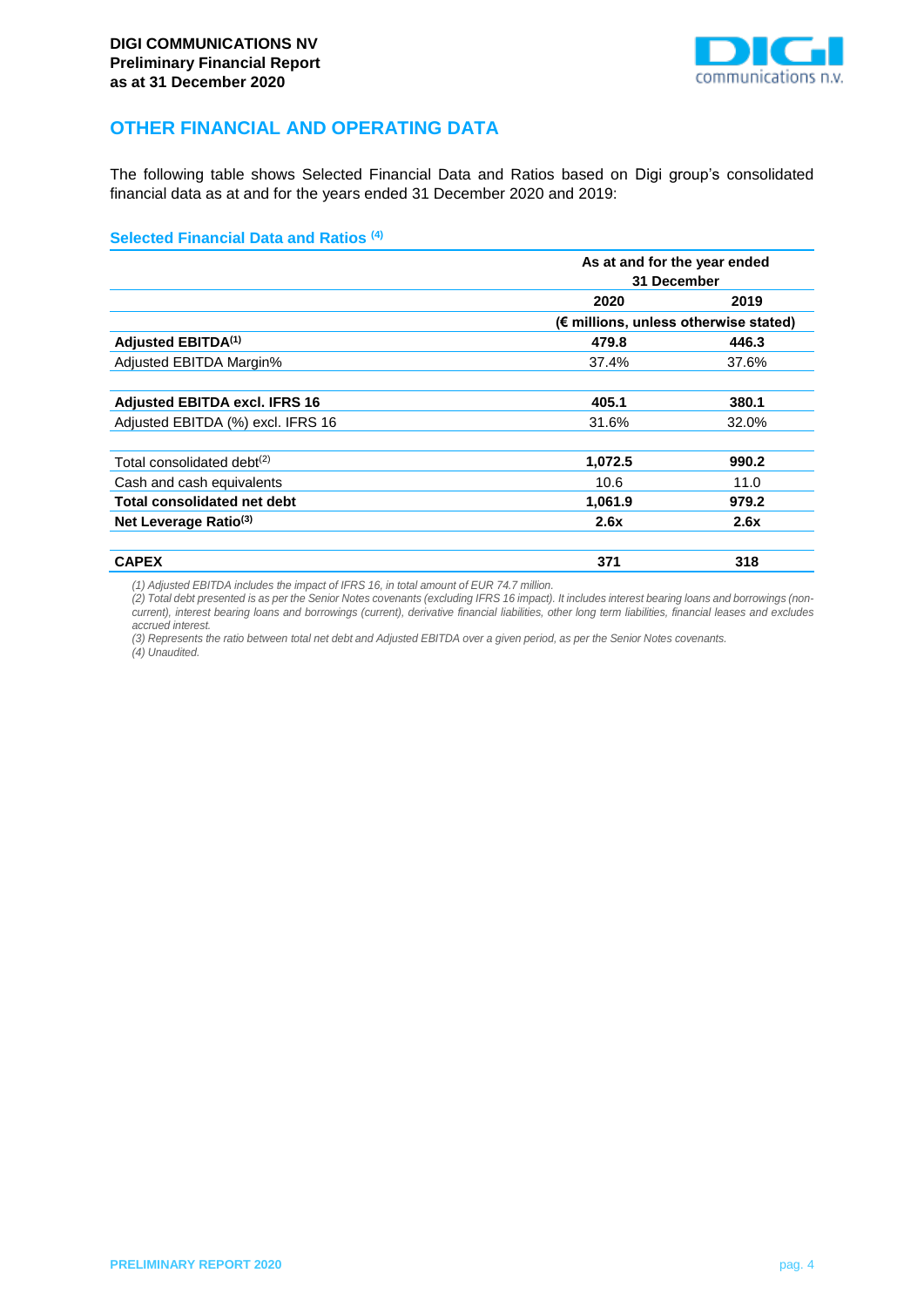

## <span id="page-4-0"></span>**OTHER FINANCIAL AND OPERATING DATA**

The following table shows Selected Financial Data and Ratios based on Digi group's consolidated financial data as at and for the years ended 31 December 2020 and 2019:

## **Selected Financial Data and Ratios (4)**

|                                        | As at and for the year ended<br>31 December |       |  |
|----------------------------------------|---------------------------------------------|-------|--|
|                                        | 2020                                        | 2019  |  |
|                                        | (€ millions, unless otherwise stated)       |       |  |
| Adjusted EBITDA <sup>(1)</sup>         | 479.8                                       | 446.3 |  |
| Adjusted EBITDA Margin%                | 37.4%                                       | 37.6% |  |
| <b>Adjusted EBITDA excl. IFRS 16</b>   | 405.1                                       | 380.1 |  |
| Adjusted EBITDA (%) excl. IFRS 16      | 31.6%                                       | 32.0% |  |
| Total consolidated debt <sup>(2)</sup> | 1,072.5                                     | 990.2 |  |
| Cash and cash equivalents              | 10.6                                        | 11.0  |  |
| Total consolidated net debt            | 1,061.9                                     | 979.2 |  |
| Net Leverage Ratio <sup>(3)</sup>      | 2.6x                                        | 2.6x  |  |
| <b>CAPEX</b>                           | 371                                         | 318   |  |

*(1) Adjusted EBITDA includes the impact of IFRS 16, in total amount of EUR 74.7 million.*

*(2) Total debt presented is as per the Senior Notes covenants (excluding IFRS 16 impact). It includes interest bearing loans and borrowings (noncurrent), interest bearing loans and borrowings (current), derivative financial liabilities, other long term liabilities, financial leases and excludes accrued interest.*

*(3) Represents the ratio between total net debt and Adjusted EBITDA over a given period, as per the Senior Notes covenants. (4) Unaudited.*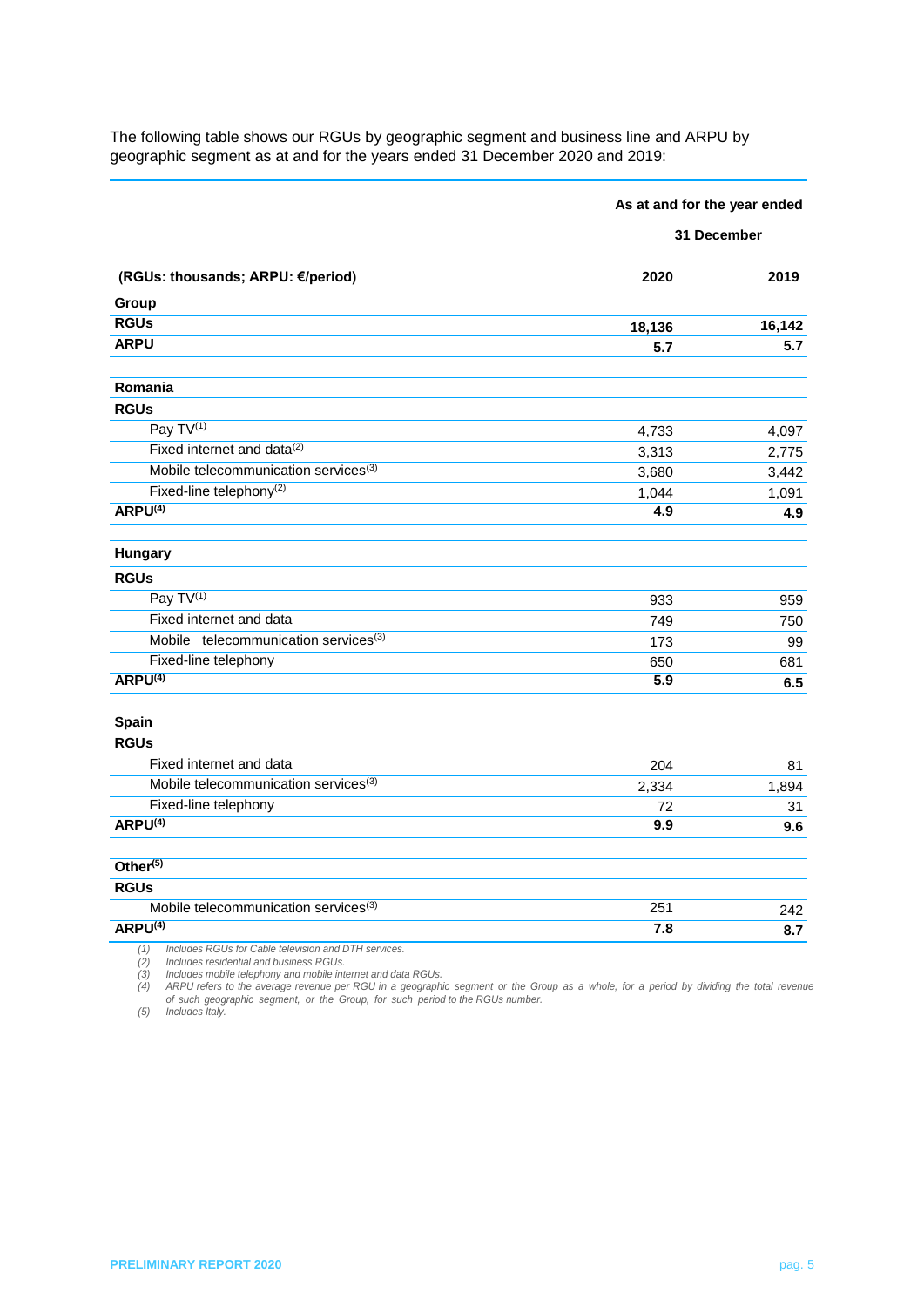|                                                             | As at and for the year ended |             |
|-------------------------------------------------------------|------------------------------|-------------|
|                                                             |                              | 31 December |
| (RGUs: thousands; ARPU: €/period)                           | 2020                         | 2019        |
| Group                                                       |                              |             |
| <b>RGUs</b>                                                 | 18,136                       | 16,142      |
| <b>ARPU</b>                                                 | 5.7                          | 5.7         |
| Romania                                                     |                              |             |
| <b>RGUs</b>                                                 |                              |             |
| Pay TV(1)                                                   | 4,733                        | 4,097       |
| Fixed internet and data(2)                                  | 3,313                        | 2,775       |
| Mobile telecommunication services <sup>(3)</sup>            | 3,680                        | 3,442       |
| Fixed-line telephony <sup>(2)</sup>                         | 1,044                        | 1,091       |
| ARPU <sup>(4)</sup>                                         | 4.9                          | 4.9         |
| Hungary                                                     |                              |             |
| <b>RGUs</b>                                                 |                              |             |
| Pay TV <sup>(1)</sup>                                       | 933                          | 959         |
| Fixed internet and data                                     | 749                          | 750         |
| Mobile telecommunication services <sup>(3)</sup>            | 173                          | 99          |
| Fixed-line telephony                                        | 650                          | 681         |
| ARPU <sup>(4)</sup>                                         | 5.9                          | 6.5         |
| <b>Spain</b>                                                |                              |             |
| <b>RGUs</b>                                                 |                              |             |
| Fixed internet and data                                     | 204                          | 81          |
| Mobile telecommunication services <sup>(3)</sup>            | 2,334                        | 1,894       |
| Fixed-line telephony                                        | 72                           | 31          |
| ARPU <sup>(4)</sup>                                         | 9.9                          | 9.6         |
| Other <sup>(5)</sup>                                        |                              |             |
| <b>RGUs</b>                                                 |                              |             |
| Mobile telecommunication services <sup>(3)</sup>            | 251                          | 242         |
| ARPU <sup>(4)</sup>                                         | 7.8                          | 8.7         |
| Includes RGUs for Cable television and DTH services.<br>(1) |                              |             |

The following table shows our RGUs by geographic segment and business line and ARPU by geographic segment as at and for the years ended 31 December 2020 and 2019:

*(2) Includes residential and business RGUs.*

*(3) Includes mobile telephony and mobile internet and data RGUs.*

(4) ARPU refers to the average revenue per RGU in a geographic segment or the Group as a whole, for a period by dividing the total revenue *of such geographic segment, or the Group, for such period to the RGUs number.*

*(5) Includes Italy.*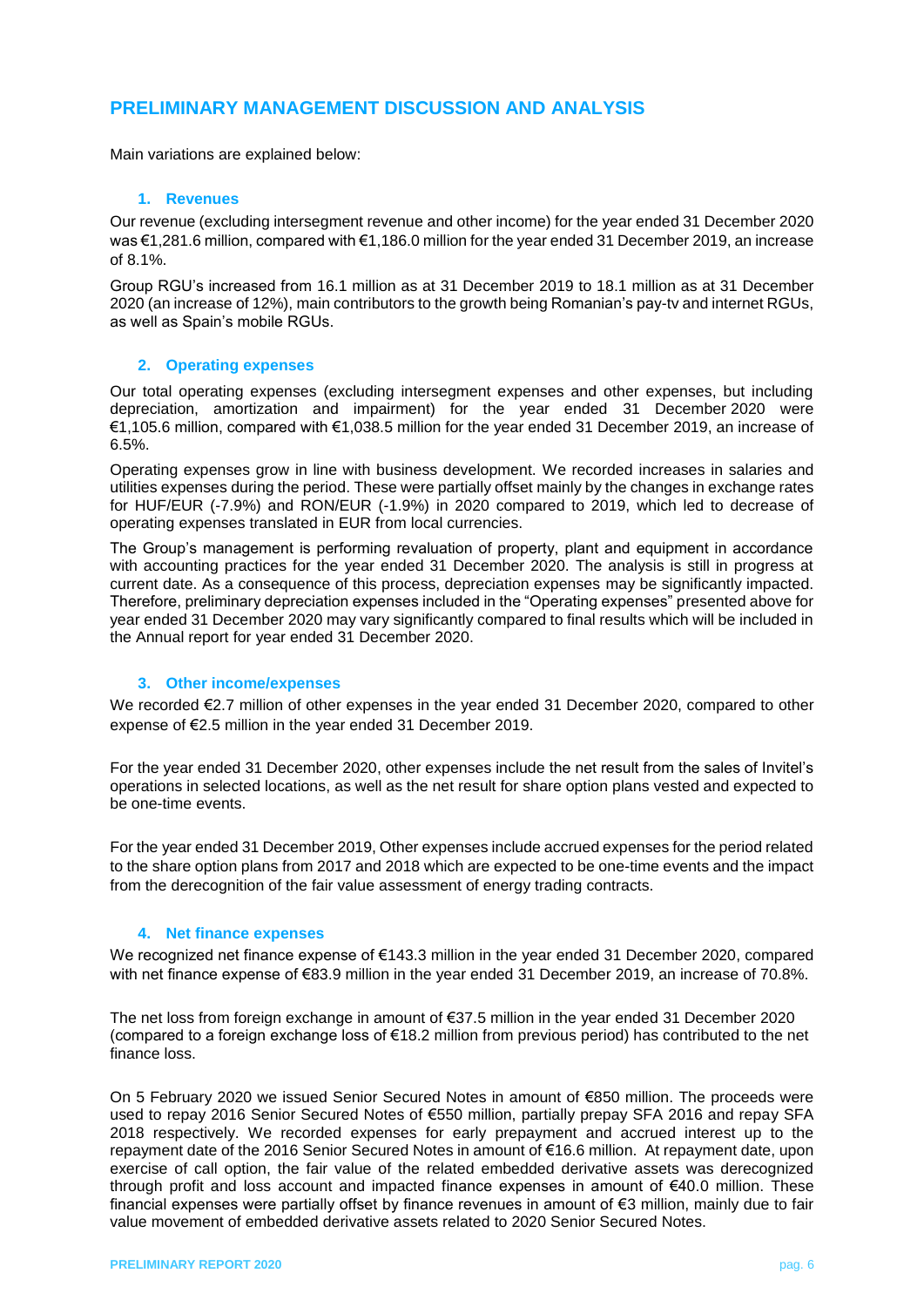## <span id="page-6-0"></span>**PRELIMINARY MANAGEMENT DISCUSSION AND ANALYSIS**

Main variations are explained below:

#### **1. Revenues**

<span id="page-6-1"></span>Our revenue (excluding intersegment revenue and other income) for the year ended 31 December 2020 was €1,281.6 million, compared with €1,186.0 million for the year ended 31 December 2019, an increase of 8.1%.

Group RGU's increased from 16.1 million as at 31 December 2019 to 18.1 million as at 31 December 2020 (an increase of 12%), main contributors to the growth being Romanian's pay-tv and internet RGUs, as well as Spain's mobile RGUs.

### <span id="page-6-3"></span>**2. Operating expenses**

<span id="page-6-2"></span>Our total operating expenses (excluding intersegment expenses and other expenses, but including depreciation, amortization and impairment) for the year ended 31 December 2020 were €1,105.6 million, compared with €1,038.5 million for the year ended 31 December 2019, an increase of 6.5%.

Operating expenses grow in line with business development. We recorded increases in salaries and utilities expenses during the period. These were partially offset mainly by the changes in exchange rates for HUF/EUR (-7.9%) and RON/EUR (-1.9%) in 2020 compared to 2019, which led to decrease of operating expenses translated in EUR from local currencies.

The Group's management is performing revaluation of property, plant and equipment in accordance with accounting practices for the year ended 31 December 2020. The analysis is still in progress at current date. As a consequence of this process, depreciation expenses may be significantly impacted. Therefore, preliminary depreciation expenses included in the "Operating expenses" presented above for year ended 31 December 2020 may vary significantly compared to final results which will be included in the Annual report for year ended 31 December 2020.

#### **3. Other income/expenses**

We recorded €2.7 million of other expenses in the year ended 31 December 2020, compared to other expense of €2.5 million in the year ended 31 December 2019.

For the year ended 31 December 2020, other expenses include the net result from the sales of Invitel's operations in selected locations, as well as the net result for share option plans vested and expected to be one-time events.

For the year ended 31 December 2019, Other expenses include accrued expenses for the period related to the share option plans from 2017 and 2018 which are expected to be one-time events and the impact from the derecognition of the fair value assessment of energy trading contracts.

#### **4. Net finance expenses**

<span id="page-6-4"></span>We recognized net finance expense of €143.3 million in the year ended 31 December 2020, compared with net finance expense of €83.9 million in the year ended 31 December 2019, an increase of 70.8%.

The net loss from foreign exchange in amount of €37.5 million in the year ended 31 December 2020 (compared to a foreign exchange loss of €18.2 million from previous period) has contributed to the net finance loss.

On 5 February 2020 we issued Senior Secured Notes in amount of €850 million. The proceeds were used to repay 2016 Senior Secured Notes of €550 million, partially prepay SFA 2016 and repay SFA 2018 respectively. We recorded expenses for early prepayment and accrued interest up to the repayment date of the 2016 Senior Secured Notes in amount of €16.6 million. At repayment date, upon exercise of call option, the fair value of the related embedded derivative assets was derecognized through profit and loss account and impacted finance expenses in amount of €40.0 million. These financial expenses were partially offset by finance revenues in amount of €3 million, mainly due to fair value movement of embedded derivative assets related to 2020 Senior Secured Notes.